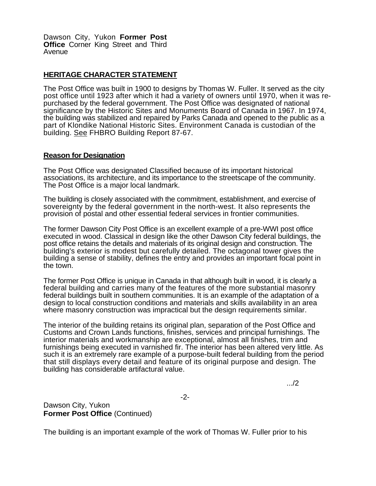Dawson City, Yukon **Former Post Office** Corner King Street and Third Avenue

## **HERITAGE CHARACTER STATEMENT**

The Post Office was built in 1900 to designs by Thomas W. Fuller. It served as the city post office until 1923 after which it had a variety of owners until 1970, when it was repurchased by the federal government. The Post Office was designated of national significance by the Historic Sites and Monuments Board of Canada in 1967. In 1974, the building was stabilized and repaired by Parks Canada and opened to the public as a part of Klondike National Historic Sites. Environment Canada is custodian of the building. See FHBRO Building Report 87-67.

## **Reason for Designation**

The Post Office was designated Classified because of its important historical associations, its architecture, and its importance to the streetscape of the community. The Post Office is a major local landmark.

The building is closely associated with the commitment, establishment, and exercise of sovereignty by the federal government in the north-west. It also represents the provision of postal and other essential federal services in frontier communities.

The former Dawson City Post Office is an excellent example of a pre-WWI post office executed in wood. Classical in design like the other Dawson City federal buildings, the post office retains the details and materials of its original design and construction. The building's exterior is modest but carefully detailed. The octagonal tower gives the building a sense of stability, defines the entry and provides an important focal point in the town.

The former Post Office is unique in Canada in that although built in wood, it is clearly a federal building and carries many of the features of the more substantial masonry federal buildings built in southern communities. It is an example of the adaptation of a design to local construction conditions and materials and skills availability in an area where masonry construction was impractical but the design requirements similar.

The interior of the building retains its original plan, separation of the Post Office and Customs and Crown Lands functions, finishes, services and principal furnishings. The interior materials and workmanship are exceptional, almost all finishes, trim and furnishings being executed in varnished fir. The interior has been altered very little. As such it is an extremely rare example of a purpose-built federal building from the period that still displays every detail and feature of its original purpose and design. The building has considerable artifactural value.

.../2

Dawson City, Yukon **Former Post Office** (Continued)

The building is an important example of the work of Thomas W. Fuller prior to his